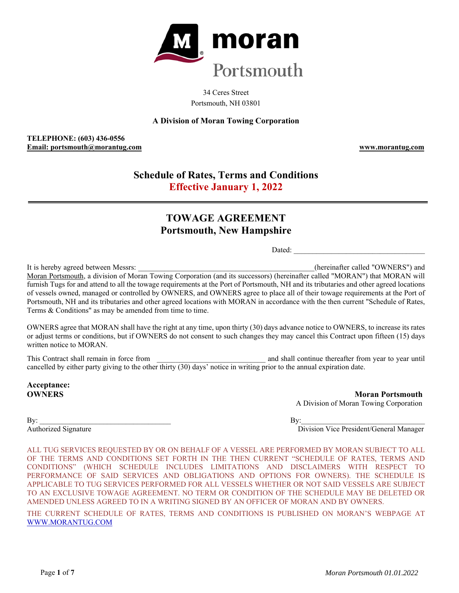

34 Ceres Street Portsmouth, NH 03801

# **A Division of Moran Towing Corporation**

**TELEPHONE: (603) 436-0556 Email: portsmouth@morantug.com www.morantug.com** 

# **Schedule of Rates, Terms and Conditions Effective January 1, 2022**

# **TOWAGE AGREEMENT Portsmouth, New Hampshire**

Dated:

It is hereby agreed between Messrs: **Example 2018** (hereinafter called "OWNERS") and Moran Portsmouth, a division of Moran Towing Corporation (and its successors) (hereinafter called "MORAN") that MORAN will furnish Tugs for and attend to all the towage requirements at the Port of Portsmouth, NH and its tributaries and other agreed locations of vessels owned, managed or controlled by OWNERS, and OWNERS agree to place all of their towage requirements at the Port of Portsmouth, NH and its tributaries and other agreed locations with MORAN in accordance with the then current "Schedule of Rates, Terms & Conditions" as may be amended from time to time.

OWNERS agree that MORAN shall have the right at any time, upon thirty (30) days advance notice to OWNERS, to increase its rates or adjust terms or conditions, but if OWNERS do not consent to such changes they may cancel this Contract upon fifteen (15) days written notice to MORAN

This Contract shall remain in force from  $\qquad \qquad$  and shall continue thereafter from year to year until cancelled by either party giving to the other thirty (30) days' notice in writing prior to the annual expiration date.

**Acceptance:** 

**OWNERS** Moran Portsmouth **Moran Portsmouth** A Division of Moran Towing Corporation

 $\mathbf{B} \mathbf{y}$ :

Authorized Signature Division Vice President/General Manager

ALL TUG SERVICES REQUESTED BY OR ON BEHALF OF A VESSEL ARE PERFORMED BY MORAN SUBJECT TO ALL OF THE TERMS AND CONDITIONS SET FORTH IN THE THEN CURRENT "SCHEDULE OF RATES, TERMS AND CONDITIONS" (WHICH SCHEDULE INCLUDES LIMITATIONS AND DISCLAIMERS WITH RESPECT TO PERFORMANCE OF SAID SERVICES AND OBLIGATIONS AND OPTIONS FOR OWNERS). THE SCHEDULE IS APPLICABLE TO TUG SERVICES PERFORMED FOR ALL VESSELS WHETHER OR NOT SAID VESSELS ARE SUBJECT TO AN EXCLUSIVE TOWAGE AGREEMENT. NO TERM OR CONDITION OF THE SCHEDULE MAY BE DELETED OR AMENDED UNLESS AGREED TO IN A WRITING SIGNED BY AN OFFICER OF MORAN AND BY OWNERS.

THE CURRENT SCHEDULE OF RATES, TERMS AND CONDITIONS IS PUBLISHED ON MORAN'S WEBPAGE AT WWW.MORANTUG.COM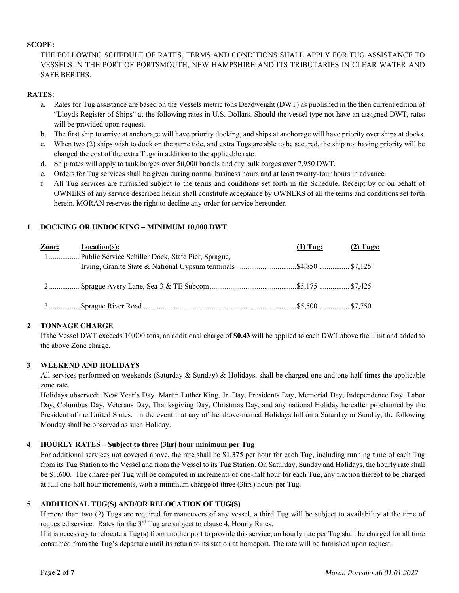## **SCOPE:**

THE FOLLOWING SCHEDULE OF RATES, TERMS AND CONDITIONS SHALL APPLY FOR TUG ASSISTANCE TO VESSELS IN THE PORT OF PORTSMOUTH, NEW HAMPSHIRE AND ITS TRIBUTARIES IN CLEAR WATER AND SAFE BERTHS.

## **RATES:**

- a. Rates for Tug assistance are based on the Vessels metric tons Deadweight (DWT) as published in the then current edition of "Lloyds Register of Ships" at the following rates in U.S. Dollars. Should the vessel type not have an assigned DWT, rates will be provided upon request.
- b. The first ship to arrive at anchorage will have priority docking, and ships at anchorage will have priority over ships at docks.
- c. When two (2) ships wish to dock on the same tide, and extra Tugs are able to be secured, the ship not having priority will be charged the cost of the extra Tugs in addition to the applicable rate.
- d. Ship rates will apply to tank barges over 50,000 barrels and dry bulk barges over 7,950 DWT.
- e. Orders for Tug services shall be given during normal business hours and at least twenty-four hours in advance.
- f. All Tug services are furnished subject to the terms and conditions set forth in the Schedule. Receipt by or on behalf of OWNERS of any service described herein shall constitute acceptance by OWNERS of all the terms and conditions set forth herein. MORAN reserves the right to decline any order for service hereunder.

# **1 DOCKING OR UNDOCKING – MINIMUM 10,000 DWT**

| Zone: | <b>Location(s):</b>                                  | $(1)$ Tug: | $(2)$ Tugs: |
|-------|------------------------------------------------------|------------|-------------|
|       | 1 Public Service Schiller Dock, State Pier, Sprague, |            |             |
|       |                                                      |            |             |
|       |                                                      |            |             |

# **2 TONNAGE CHARGE**

If the Vessel DWT exceeds 10,000 tons, an additional charge of **\$0.43** will be applied to each DWT above the limit and added to the above Zone charge.

#### **3 WEEKEND AND HOLIDAYS**

All services performed on weekends (Saturday & Sunday) & Holidays, shall be charged one-and one-half times the applicable zone rate.

Holidays observed: New Year's Day, Martin Luther King, Jr. Day, Presidents Day, Memorial Day, Independence Day, Labor Day, Columbus Day, Veterans Day, Thanksgiving Day, Christmas Day, and any national Holiday hereafter proclaimed by the President of the United States. In the event that any of the above-named Holidays fall on a Saturday or Sunday, the following Monday shall be observed as such Holiday.

# **4 HOURLY RATES – Subject to three (3hr) hour minimum per Tug**

For additional services not covered above, the rate shall be \$1,375 per hour for each Tug, including running time of each Tug from its Tug Station to the Vessel and from the Vessel to its Tug Station. On Saturday, Sunday and Holidays, the hourly rate shall be \$1,600. The charge per Tug will be computed in increments of one-half hour for each Tug, any fraction thereof to be charged at full one-half hour increments, with a minimum charge of three (3hrs) hours per Tug.

# **5 ADDITIONAL TUG(S) AND/OR RELOCATION OF TUG(S)**

If more than two (2) Tugs are required for maneuvers of any vessel, a third Tug will be subject to availability at the time of requested service. Rates for the  $3<sup>rd</sup>$  Tug are subject to clause 4, Hourly Rates.

If it is necessary to relocate a Tug(s) from another port to provide this service, an hourly rate per Tug shall be charged for all time consumed from the Tug's departure until its return to its station at homeport. The rate will be furnished upon request.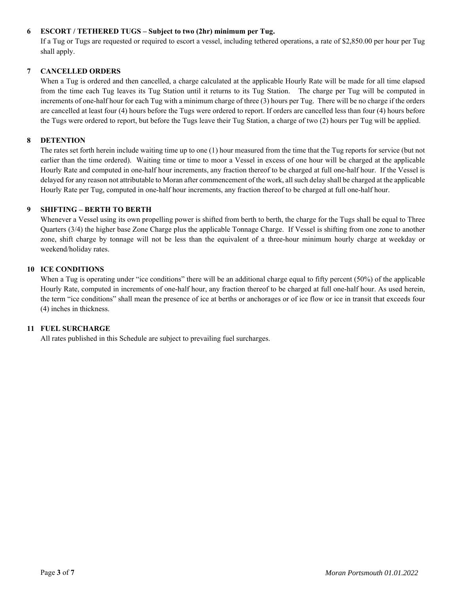# **6 ESCORT / TETHERED TUGS – Subject to two (2hr) minimum per Tug.**

 If a Tug or Tugs are requested or required to escort a vessel, including tethered operations, a rate of \$2,850.00 per hour per Tug shall apply.

#### **7 CANCELLED ORDERS**

When a Tug is ordered and then cancelled, a charge calculated at the applicable Hourly Rate will be made for all time elapsed from the time each Tug leaves its Tug Station until it returns to its Tug Station. The charge per Tug will be computed in increments of one-half hour for each Tug with a minimum charge of three (3) hours per Tug. There will be no charge if the orders are cancelled at least four (4) hours before the Tugs were ordered to report. If orders are cancelled less than four (4) hours before the Tugs were ordered to report, but before the Tugs leave their Tug Station, a charge of two (2) hours per Tug will be applied.

#### **8 DETENTION**

The rates set forth herein include waiting time up to one (1) hour measured from the time that the Tug reports for service (but not earlier than the time ordered). Waiting time or time to moor a Vessel in excess of one hour will be charged at the applicable Hourly Rate and computed in one-half hour increments, any fraction thereof to be charged at full one-half hour. If the Vessel is delayed for any reason not attributable to Moran after commencement of the work, all such delay shall be charged at the applicable Hourly Rate per Tug, computed in one-half hour increments, any fraction thereof to be charged at full one-half hour.

## **9 SHIFTING – BERTH TO BERTH**

Whenever a Vessel using its own propelling power is shifted from berth to berth, the charge for the Tugs shall be equal to Three Quarters (3/4) the higher base Zone Charge plus the applicable Tonnage Charge. If Vessel is shifting from one zone to another zone, shift charge by tonnage will not be less than the equivalent of a three-hour minimum hourly charge at weekday or weekend/holiday rates.

#### **10 ICE CONDITIONS**

When a Tug is operating under "ice conditions" there will be an additional charge equal to fifty percent (50%) of the applicable Hourly Rate, computed in increments of one-half hour, any fraction thereof to be charged at full one-half hour. As used herein, the term "ice conditions" shall mean the presence of ice at berths or anchorages or of ice flow or ice in transit that exceeds four (4) inches in thickness.

#### **11 FUEL SURCHARGE**

All rates published in this Schedule are subject to prevailing fuel surcharges.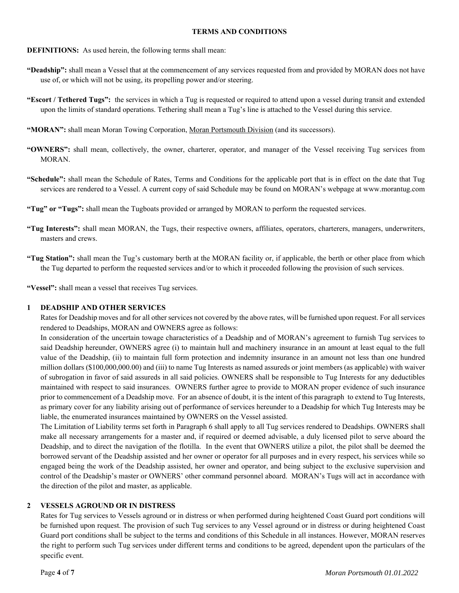#### **TERMS AND CONDITIONS**

- **DEFINITIONS:** As used herein, the following terms shall mean:
- **"Deadship":** shall mean a Vessel that at the commencement of any services requested from and provided by MORAN does not have use of, or which will not be using, its propelling power and/or steering.
- **"Escort / Tethered Tugs":** the services in which a Tug is requested or required to attend upon a vessel during transit and extended upon the limits of standard operations. Tethering shall mean a Tug's line is attached to the Vessel during this service.
- **"MORAN":** shall mean Moran Towing Corporation, Moran Portsmouth Division (and its successors).
- **"OWNERS":** shall mean, collectively, the owner, charterer, operator, and manager of the Vessel receiving Tug services from MORAN.
- **"Schedule":** shall mean the Schedule of Rates, Terms and Conditions for the applicable port that is in effect on the date that Tug services are rendered to a Vessel. A current copy of said Schedule may be found on MORAN's webpage at www.morantug.com
- **"Tug" or "Tugs":** shall mean the Tugboats provided or arranged by MORAN to perform the requested services.
- **"Tug Interests":** shall mean MORAN, the Tugs, their respective owners, affiliates, operators, charterers, managers, underwriters, masters and crews.
- **"Tug Station":** shall mean the Tug's customary berth at the MORAN facility or, if applicable, the berth or other place from which the Tug departed to perform the requested services and/or to which it proceeded following the provision of such services.

**"Vessel":** shall mean a vessel that receives Tug services.

#### **1 DEADSHIP AND OTHER SERVICES**

Rates for Deadship moves and for all other services not covered by the above rates, will be furnished upon request. For all services rendered to Deadships, MORAN and OWNERS agree as follows:

In consideration of the uncertain towage characteristics of a Deadship and of MORAN's agreement to furnish Tug services to said Deadship hereunder, OWNERS agree (i) to maintain hull and machinery insurance in an amount at least equal to the full value of the Deadship, (ii) to maintain full form protection and indemnity insurance in an amount not less than one hundred million dollars (\$100,000,000.00) and (iii) to name Tug Interests as named assureds or joint members (as applicable) with waiver of subrogation in favor of said assureds in all said policies. OWNERS shall be responsible to Tug Interests for any deductibles maintained with respect to said insurances. OWNERS further agree to provide to MORAN proper evidence of such insurance prior to commencement of a Deadship move. For an absence of doubt, it is the intent of this paragraph to extend to Tug Interests, as primary cover for any liability arising out of performance of services hereunder to a Deadship for which Tug Interests may be liable, the enumerated insurances maintained by OWNERS on the Vessel assisted.

The Limitation of Liability terms set forth in Paragraph 6 shall apply to all Tug services rendered to Deadships. OWNERS shall make all necessary arrangements for a master and, if required or deemed advisable, a duly licensed pilot to serve aboard the Deadship, and to direct the navigation of the flotilla. In the event that OWNERS utilize a pilot, the pilot shall be deemed the borrowed servant of the Deadship assisted and her owner or operator for all purposes and in every respect, his services while so engaged being the work of the Deadship assisted, her owner and operator, and being subject to the exclusive supervision and control of the Deadship's master or OWNERS' other command personnel aboard. MORAN's Tugs will act in accordance with the direction of the pilot and master, as applicable.

#### **2 VESSELS AGROUND OR IN DISTRESS**

Rates for Tug services to Vessels aground or in distress or when performed during heightened Coast Guard port conditions will be furnished upon request. The provision of such Tug services to any Vessel aground or in distress or during heightened Coast Guard port conditions shall be subject to the terms and conditions of this Schedule in all instances. However, MORAN reserves the right to perform such Tug services under different terms and conditions to be agreed, dependent upon the particulars of the specific event.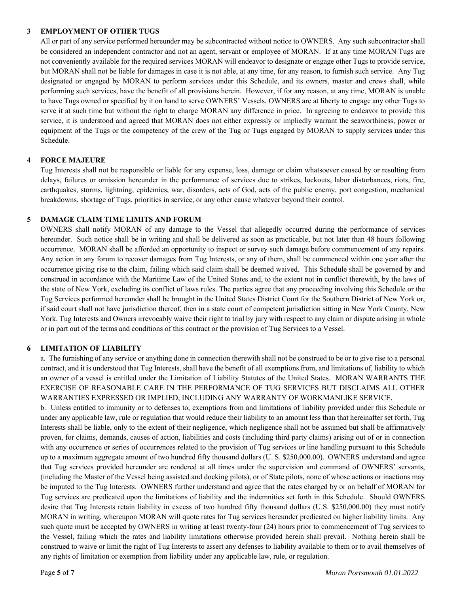#### **3 EMPLOYMENT OF OTHER TUGS**

All or part of any service performed hereunder may be subcontracted without notice to OWNERS. Any such subcontractor shall be considered an independent contractor and not an agent, servant or employee of MORAN. If at any time MORAN Tugs are not conveniently available for the required services MORAN will endeavor to designate or engage other Tugs to provide service, but MORAN shall not be liable for damages in case it is not able, at any time, for any reason, to furnish such service. Any Tug designated or engaged by MORAN to perform services under this Schedule, and its owners, master and crews shall, while performing such services, have the benefit of all provisions herein. However, if for any reason, at any time, MORAN is unable to have Tugs owned or specified by it on hand to serve OWNERS' Vessels, OWNERS are at liberty to engage any other Tugs to serve it at such time but without the right to charge MORAN any difference in price. In agreeing to endeavor to provide this service, it is understood and agreed that MORAN does not either expressly or impliedly warrant the seaworthiness, power or equipment of the Tugs or the competency of the crew of the Tug or Tugs engaged by MORAN to supply services under this Schedule.

## **4 FORCE MAJEURE**

Tug Interests shall not be responsible or liable for any expense, loss, damage or claim whatsoever caused by or resulting from delays, failures or omission hereunder in the performance of services due to strikes, lockouts, labor disturbances, riots, fire, earthquakes, storms, lightning, epidemics, war, disorders, acts of God, acts of the public enemy, port congestion, mechanical breakdowns, shortage of Tugs, priorities in service, or any other cause whatever beyond their control.

## **5 DAMAGE CLAIM TIME LIMITS AND FORUM**

OWNERS shall notify MORAN of any damage to the Vessel that allegedly occurred during the performance of services hereunder. Such notice shall be in writing and shall be delivered as soon as practicable, but not later than 48 hours following occurrence. MORAN shall be afforded an opportunity to inspect or survey such damage before commencement of any repairs. Any action in any forum to recover damages from Tug Interests, or any of them, shall be commenced within one year after the occurrence giving rise to the claim, failing which said claim shall be deemed waived. This Schedule shall be governed by and construed in accordance with the Maritime Law of the United States and, to the extent not in conflict therewith, by the laws of the state of New York, excluding its conflict of laws rules. The parties agree that any proceeding involving this Schedule or the Tug Services performed hereunder shall be brought in the United States District Court for the Southern District of New York or, if said court shall not have jurisdiction thereof, then in a state court of competent jurisdiction sitting in New York County, New York. Tug Interests and Owners irrevocably waive their right to trial by jury with respect to any claim or dispute arising in whole or in part out of the terms and conditions of this contract or the provision of Tug Services to a Vessel.

#### **6 LIMITATION OF LIABILITY**

a. The furnishing of any service or anything done in connection therewith shall not be construed to be or to give rise to a personal contract, and it is understood that Tug Interests, shall have the benefit of all exemptions from, and limitations of, liability to which an owner of a vessel is entitled under the Limitation of Liability Statutes of the United States. MORAN WARRANTS THE EXERCISE OF REASONABLE CARE IN THE PERFORMANCE OF TUG SERVICES BUT DISCLAIMS ALL OTHER WARRANTIES EXPRESSED OR IMPLIED, INCLUDING ANY WARRANTY OF WORKMANLIKE SERVICE.

b. Unless entitled to immunity or to defenses to, exemptions from and limitations of liability provided under this Schedule or under any applicable law, rule or regulation that would reduce their liability to an amount less than that hereinafter set forth, Tug Interests shall be liable, only to the extent of their negligence, which negligence shall not be assumed but shall be affirmatively proven, for claims, demands, causes of action, liabilities and costs (including third party claims) arising out of or in connection with any occurrence or series of occurrences related to the provision of Tug services or line handling pursuant to this Schedule up to a maximum aggregate amount of two hundred fifty thousand dollars (U. S. \$250,000.00). OWNERS understand and agree that Tug services provided hereunder are rendered at all times under the supervision and command of OWNERS' servants, (including the Master of the Vessel being assisted and docking pilots), or of State pilots, none of whose actions or inactions may be imputed to the Tug Interests. OWNERS further understand and agree that the rates charged by or on behalf of MORAN for Tug services are predicated upon the limitations of liability and the indemnities set forth in this Schedule. Should OWNERS desire that Tug Interests retain liability in excess of two hundred fifty thousand dollars (U.S. \$250,000.00) they must notify MORAN in writing, whereupon MORAN will quote rates for Tug services hereunder predicated on higher liability limits. Any such quote must be accepted by OWNERS in writing at least twenty-four (24) hours prior to commencement of Tug services to the Vessel, failing which the rates and liability limitations otherwise provided herein shall prevail. Nothing herein shall be construed to waive or limit the right of Tug Interests to assert any defenses to liability available to them or to avail themselves of any rights of limitation or exemption from liability under any applicable law, rule, or regulation.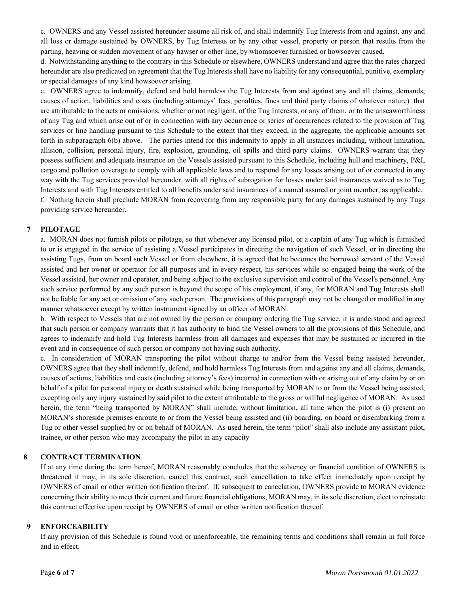c. OWNERS and any Vessel assisted hereunder assume all risk of, and shall indemnify Tug Interests from and against, any and all loss or damage sustained by OWNERS, by Tug Interests or by any other vessel, property or person that results from the parting, heaving or sudden movement of any hawser or other line, by whomsoever furnished or howsoever caused.

d. Notwithstanding anything to the contrary in this Schedule or elsewhere, OWNERS understand and agree that the rates charged hereunder are also predicated on agreement that the Tug Interests shall have no liability for any consequential, punitive, exemplary or special damages of any kind howsoever arising.

e. OWNERS agree to indemnify, defend and hold harmless the Tug Interests from and against any and all claims, demands, causes of action, liabilities and costs (including attorneys' fees, penalties, fines and third party claims of whatever nature) that are attributable to the acts or omissions, whether or not negligent, of the Tug Interests, or any of them, or to the unseaworthiness of any Tug and which arise out of or in connection with any occurrence or series of occurrences related to the provision of Tug services or line handling pursuant to this Schedule to the extent that they exceed, in the aggregate, the applicable amounts set forth in subparagraph 6(b) above. The parties intend for this indemnity to apply in all instances including, without limitation, allision, collision, personal injury, fire, explosion, grounding, oil spills and third-party claims. OWNERS warrant that they possess sufficient and adequate insurance on the Vessels assisted pursuant to this Schedule, including hull and machinery, P&I, cargo and pollution coverage to comply with all applicable laws and to respond for any losses arising out of or connected in any way with the Tug services provided hereunder, with all rights of subrogation for losses under said insurances waived as to Tug Interests and with Tug Interests entitled to all benefits under said insurances of a named assured or joint member, as applicable. f. Nothing herein shall preclude MORAN from recovering from any responsible party for any damages sustained by any Tugs providing service hereunder.

## **7 PILOTAGE**

a. MORAN does not furnish pilots or pilotage, so that whenever any licensed pilot, or a captain of any Tug which is furnished to or is engaged in the service of assisting a Vessel participates in directing the navigation of such Vessel, or in directing the assisting Tugs, from on board such Vessel or from elsewhere, it is agreed that he becomes the borrowed servant of the Vessel assisted and her owner or operator for all purposes and in every respect, his services while so engaged being the work of the Vessel assisted, her owner and operator, and being subject to the exclusive supervision and control of the Vessel's personnel. Any such service performed by any such person is beyond the scope of his employment, if any, for MORAN and Tug Interests shall not be liable for any act or omission of any such person. The provisions of this paragraph may not be changed or modified in any manner whatsoever except by written instrument signed by an officer of MORAN.

b. With respect to Vessels that are not owned by the person or company ordering the Tug service, it is understood and agreed that such person or company warrants that it has authority to bind the Vessel owners to all the provisions of this Schedule, and agrees to indemnify and hold Tug Interests harmless from all damages and expenses that may be sustained or incurred in the event and in consequence of such person or company not having such authority.

c. In consideration of MORAN transporting the pilot without charge to and/or from the Vessel being assisted hereunder, OWNERS agree that they shall indemnify, defend, and hold harmless Tug Interests from and against any and all claims, demands, causes of actions, liabilities and costs (including attorney's fees) incurred in connection with or arising out of any claim by or on behalf of a pilot for personal injury or death sustained while being transported by MORAN to or from the Vessel being assisted, excepting only any injury sustained by said pilot to the extent attributable to the gross or willful negligence of MORAN. As used herein, the term "being transported by MORAN" shall include, without limitation, all time when the pilot is (i) present on MORAN's shoreside premises enroute to or from the Vessel being assisted and (ii) boarding, on board or disembarking from a Tug or other vessel supplied by or on behalf of MORAN. As used herein, the term "pilot" shall also include any assistant pilot, trainee, or other person who may accompany the pilot in any capacity

# **8 CONTRACT TERMINATION**

If at any time during the term hereof, MORAN reasonably concludes that the solvency or financial condition of OWNERS is threatened it may, in its sole discretion, cancel this contract, such cancellation to take effect immediately upon receipt by OWNERS of email or other written notification thereof. If, subsequent to cancelation, OWNERS provide to MORAN evidence concerning their ability to meet their current and future financial obligations, MORAN may, in its sole discretion, elect to reinstate this contract effective upon receipt by OWNERS of email or other written notification thereof.

#### **9 ENFORCEABILITY**

If any provision of this Schedule is found void or unenforceable, the remaining terms and conditions shall remain in full force and in effect.